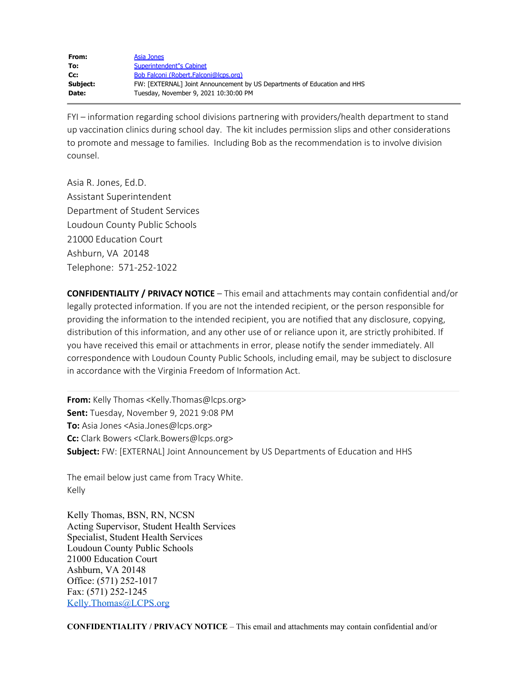| From:    | Asia Jones                                                               |
|----------|--------------------------------------------------------------------------|
| To:      | Superintendent"s Cabinet                                                 |
| Cc:      | Bob Falconi (Robert.Falconi@lcps.org)                                    |
| Subject: | FW: [EXTERNAL] Joint Announcement by US Departments of Education and HHS |
| Date:    | Tuesday, November 9, 2021 10:30:00 PM                                    |
|          |                                                                          |

FYI – information regarding school divisions partnering with providers/health department to stand up vaccination clinics during school day. The kit includes permission slips and other considerations to promote and message to families. Including Bob as the recommendation is to involve division counsel.

Asia R. Jones, Ed.D. Assistant Superintendent Department of Student Services Loudoun County Public Schools 21000 Education Court Ashburn, VA 20148 Telephone: 571-252-1022

**CONFIDENTIALITY / PRIVACY NOTICE** – This email and attachments may contain confidential and/or legally protected information. If you are not the intended recipient, or the person responsible for providing the information to the intended recipient, you are notified that any disclosure, copying, distribution of this information, and any other use of or reliance upon it, are strictly prohibited. If you have received this email or attachments in error, please notify the sender immediately. All correspondence with Loudoun County Public Schools, including email, may be subject to disclosure in accordance with the Virginia Freedom of Information Act.

**From:** Kelly Thomas <Kelly.Thomas@lcps.org> **Sent:** Tuesday, November 9, 2021 9:08 PM **To:** Asia Jones <Asia.Jones@lcps.org> **Cc:** Clark Bowers <Clark.Bowers@lcps.org> **Subject:** FW: [EXTERNAL] Joint Announcement by US Departments of Education and HHS

The email below just came from Tracy White. Kelly

Kelly Thomas, BSN, RN, NCSN Acting Supervisor, Student Health Services Specialist, Student Health Services Loudoun County Public Schools 21000 Education Court Ashburn, VA 20148 Office: (571) 252-1017 Fax: (571) 252-1245 [Kelly.Thomas@LCPS.org](mailto:Kelly.Thomas@LCPS.org)

**CONFIDENTIALITY / PRIVACY NOTICE** – This email and attachments may contain confidential and/or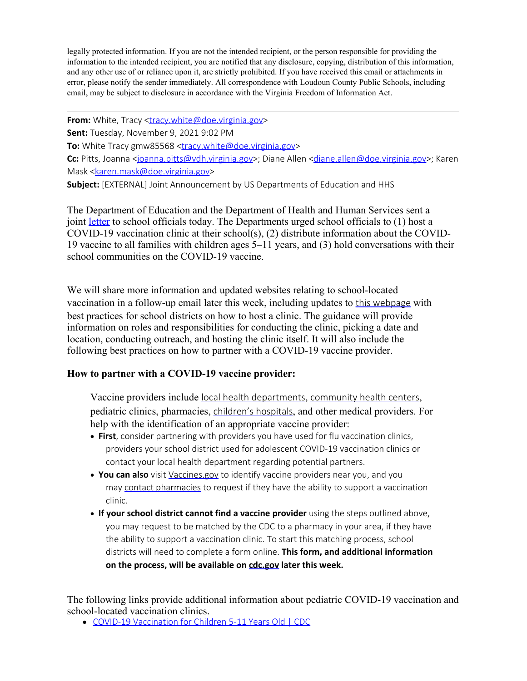legally protected information. If you are not the intended recipient, or the person responsible for providing the information to the intended recipient, you are notified that any disclosure, copying, distribution of this information, and any other use of or reliance upon it, are strictly prohibited. If you have received this email or attachments in error, please notify the sender immediately. All correspondence with Loudoun County Public Schools, including email, may be subject to disclosure in accordance with the Virginia Freedom of Information Act.

**From:** White, Tracy [<tracy.white@doe.virginia.gov](mailto:tracy.white@doe.virginia.gov)> **Sent:** Tuesday, November 9, 2021 9:02 PM **To:** White Tracy gmw85568 <*[tracy.white@doe.virginia.gov](mailto:tracy.white@doe.virginia.gov)>* **Cc:** Pitts, Joanna [<joanna.pitts@vdh.virginia.gov](mailto:joanna.pitts@vdh.virginia.gov)>; Diane Allen [<diane.allen@doe.virginia.gov](mailto:diane.allen@doe.virginia.gov)>; Karen Mask <**karen.mask@doe.virginia.gov>** 

**Subject:** [EXTERNAL] Joint Announcement by US Departments of Education and HHS

The Department of Education and the Department of Health and Human Services sent a joint [letter](https://nam04.safelinks.protection.outlook.com/?url=https%3A%2F%2Foese.ed.gov%2Ffiles%2F2021%2F11%2FFinal-Signed-Letter-Regarding-Pediatric-Vaccination-Efforts-00467478.pdf&data=04%7C01%7CAsia.Jones%40lcps.org%7Cd2b0be488dff4907157f08d9a3eedaba%7C86750b0cee12463db28880f7b2b34689%7C0%7C0%7C637721068530359994%7CUnknown%7CTWFpbGZsb3d8eyJWIjoiMC4wLjAwMDAiLCJQIjoiV2luMzIiLCJBTiI6Ik1haWwiLCJXVCI6Mn0%3D%7C1000&sdata=wcb1dXc4W7sCQ0JqNnfNE4VSJF1JxsoWj97lIMZEVxY%3D&reserved=0) to school officials today. The Departments urged school officials to (1) host a COVID-19 vaccination clinic at their school(s), (2) distribute information about the COVID-19 vaccine to all families with children ages 5–11 years, and (3) hold conversations with their school communities on the COVID-19 vaccine.

We will share more information and updated websites relating to school-located vaccination in a follow-up email later this week, including updates to [this webpage](https://nam04.safelinks.protection.outlook.com/?url=https%3A%2F%2Fwww.cdc.gov%2Fvaccines%2Fcovid-19%2Fplanning%2Fschool-located-clinics.html&data=04%7C01%7CAsia.Jones%40lcps.org%7Cd2b0be488dff4907157f08d9a3eedaba%7C86750b0cee12463db28880f7b2b34689%7C0%7C0%7C637721068530359994%7CUnknown%7CTWFpbGZsb3d8eyJWIjoiMC4wLjAwMDAiLCJQIjoiV2luMzIiLCJBTiI6Ik1haWwiLCJXVCI6Mn0%3D%7C1000&sdata=1HSSf29Jx%2FuJp8NNvFLOUHaQKZ82GZKJcI8liwZy3Dk%3D&reserved=0) with best practices for school districts on how to host a clinic. The guidance will provide information on roles and responsibilities for conducting the clinic, picking a date and location, conducting outreach, and hosting the clinic itself. It will also include the following best practices on how to partner with a COVID-19 vaccine provider.

## **How to partner with a COVID-19 vaccine provider:**

Vaccine providers include [local health departments](https://nam04.safelinks.protection.outlook.com/?url=https%3A%2F%2Fwww.naccho.org%2Fmembership%2Flhd-directory&data=04%7C01%7CAsia.Jones%40lcps.org%7Cd2b0be488dff4907157f08d9a3eedaba%7C86750b0cee12463db28880f7b2b34689%7C0%7C0%7C637721068530369981%7CUnknown%7CTWFpbGZsb3d8eyJWIjoiMC4wLjAwMDAiLCJQIjoiV2luMzIiLCJBTiI6Ik1haWwiLCJXVCI6Mn0%3D%7C1000&sdata=qRiUJjblrfUfLJEmNQknDRoHgmhtPoqTlXJqqRG0YdI%3D&reserved=0), [community health centers](https://nam04.safelinks.protection.outlook.com/?url=https%3A%2F%2Ffindahealthcenter.hrsa.gov%2F&data=04%7C01%7CAsia.Jones%40lcps.org%7Cd2b0be488dff4907157f08d9a3eedaba%7C86750b0cee12463db28880f7b2b34689%7C0%7C0%7C637721068530379976%7CUnknown%7CTWFpbGZsb3d8eyJWIjoiMC4wLjAwMDAiLCJQIjoiV2luMzIiLCJBTiI6Ik1haWwiLCJXVCI6Mn0%3D%7C1000&sdata=DHiyYvZeeBe5Ri6st%2BIbtSLuMcfc8rrOThFh9%2BWSTrk%3D&reserved=0), pediatric clinics, pharmacies, [children's hospitals](https://nam04.safelinks.protection.outlook.com/?url=https%3A%2F%2Fwww.childrenshospitals.org%2FDirectories%2FHospital-Directory&data=04%7C01%7CAsia.Jones%40lcps.org%7Cd2b0be488dff4907157f08d9a3eedaba%7C86750b0cee12463db28880f7b2b34689%7C0%7C0%7C637721068530379976%7CUnknown%7CTWFpbGZsb3d8eyJWIjoiMC4wLjAwMDAiLCJQIjoiV2luMzIiLCJBTiI6Ik1haWwiLCJXVCI6Mn0%3D%7C1000&sdata=DCb5qc92vk2TVQa9XJJucGxWHgVBtjKKeC%2BajDdGWT0%3D&reserved=0), and other medical providers. For help with the identification of an appropriate vaccine provider:

- · **First**, consider partnering with providers you have used for flu vaccination clinics, providers your school district used for adolescent COVID-19 vaccination clinics or contact your local health department regarding potential partners.
- · **You can also** visit [Vaccines.gov](https://nam04.safelinks.protection.outlook.com/?url=http%3A%2F%2Fvaccines.gov%2F&data=04%7C01%7CAsia.Jones%40lcps.org%7Cd2b0be488dff4907157f08d9a3eedaba%7C86750b0cee12463db28880f7b2b34689%7C0%7C0%7C637721068530389973%7CUnknown%7CTWFpbGZsb3d8eyJWIjoiMC4wLjAwMDAiLCJQIjoiV2luMzIiLCJBTiI6Ik1haWwiLCJXVCI6Mn0%3D%7C1000&sdata=REm8NGyC1DBLEHWFqszYBca6w0nmeywhjFZPFUxeCEU%3D&reserved=0) to identify vaccine providers near you, and you may [contact pharmacies](https://nam04.safelinks.protection.outlook.com/?url=https%3A%2F%2Fwww.cdc.gov%2Fvaccines%2Fcovid-19%2Fretail-pharmacy-program%2Findex.html&data=04%7C01%7CAsia.Jones%40lcps.org%7Cd2b0be488dff4907157f08d9a3eedaba%7C86750b0cee12463db28880f7b2b34689%7C0%7C0%7C637721068530389973%7CUnknown%7CTWFpbGZsb3d8eyJWIjoiMC4wLjAwMDAiLCJQIjoiV2luMzIiLCJBTiI6Ik1haWwiLCJXVCI6Mn0%3D%7C1000&sdata=1xfl%2BeTExly8gCnJRGXAPuH%2BZUoN87wXjaHfYhnRBG8%3D&reserved=0) to request if they have the ability to support a vaccination clinic.
- · **If your school district cannot find a vaccine provider** using the steps outlined above, you may request to be matched by the CDC to a pharmacy in your area, if they have the ability to support a vaccination clinic. To start this matching process, school districts will need to complete a form online. **This form, and additional information on the process, will be available on [cdc.gov](https://nam04.safelinks.protection.outlook.com/?url=https%3A%2F%2Fwww.cdc.gov%2Fvaccines%2Fcovid-19%2Fplanning%2Fschool-located-clinics.html&data=04%7C01%7CAsia.Jones%40lcps.org%7Cd2b0be488dff4907157f08d9a3eedaba%7C86750b0cee12463db28880f7b2b34689%7C0%7C0%7C637721068530399964%7CUnknown%7CTWFpbGZsb3d8eyJWIjoiMC4wLjAwMDAiLCJQIjoiV2luMzIiLCJBTiI6Ik1haWwiLCJXVCI6Mn0%3D%7C1000&sdata=ZKEQcw7Y5HcMjoZP0jWUEwqOJq6BFOcENmF810Nw90U%3D&reserved=0) later this week.**

The following links provide additional information about pediatric COVID-19 vaccination and school-located vaccination clinics.

[COVID-19 Vaccination for Children 5-11 Years Old | CDC](https://nam04.safelinks.protection.outlook.com/?url=https%3A%2F%2Fwww.cdc.gov%2Fvaccines%2Fcovid-19%2Fplanning%2Fchildren.html&data=04%7C01%7CAsia.Jones%40lcps.org%7Cd2b0be488dff4907157f08d9a3eedaba%7C86750b0cee12463db28880f7b2b34689%7C0%7C0%7C637721068530399964%7CUnknown%7CTWFpbGZsb3d8eyJWIjoiMC4wLjAwMDAiLCJQIjoiV2luMzIiLCJBTiI6Ik1haWwiLCJXVCI6Mn0%3D%7C1000&sdata=GNdMD62V%2FywxQRIqDvyqWnDiuKUy%2FHN0kfItfs8VvUY%3D&reserved=0)